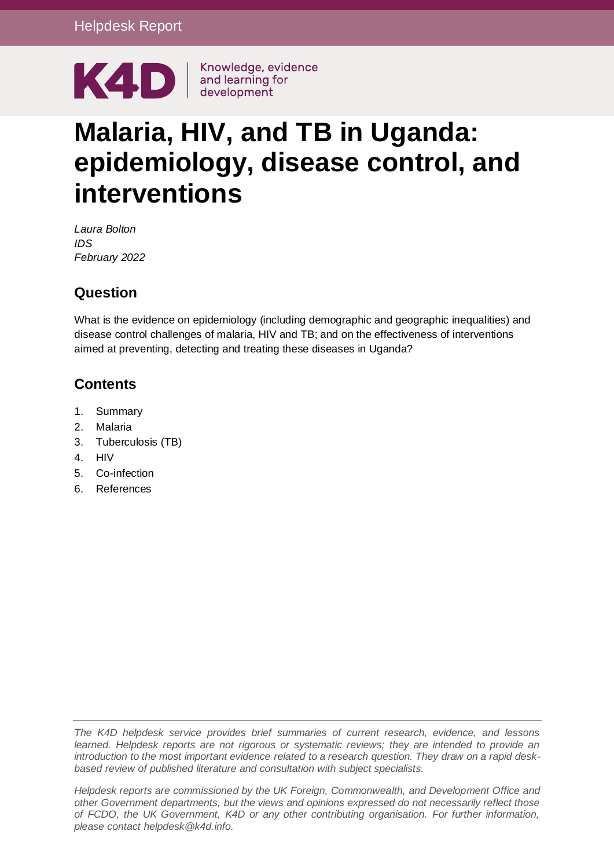

# **Malaria, HIV, and TB in Uganda: epidemiology, disease control, and interventions**

*Laura Bolton IDS February 2022*

# **Question**

What is the evidence on epidemiology (including demographic and geographic inequalities) and disease control challenges of malaria, HIV and TB; and on the effectiveness of interventions aimed at preventing, detecting and treating these diseases in Uganda?

# **Contents**

- 1. [Summary](#page-1-0)
- 2. [Malaria](#page-4-0)
- 3. [Tuberculosis \(TB\)](#page-7-0)
- 4. [HIV](#page-11-0)
- 5. [Co-infection](#page-15-0)
- 6. [References](#page-16-0)

*The K4D helpdesk service provides brief summaries of current research, evidence, and lessons learned. Helpdesk reports are not rigorous or systematic reviews; they are intended to provide an introduction to the most important evidence related to a research question. They draw on a rapid deskbased review of published literature and consultation with subject specialists.* 

*Helpdesk reports are commissioned by the UK Foreign, Commonwealth, and Development Office and other Government departments, but the views and opinions expressed do not necessarily reflect those of FCDO, the UK Government, K4D or any other contributing organisation. For further information, please contact helpdesk@k4d.info.*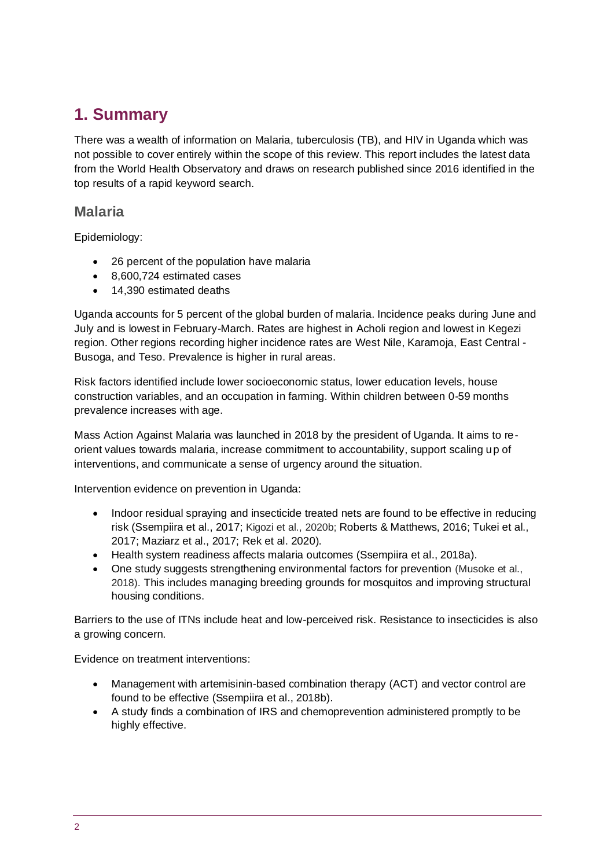# <span id="page-1-0"></span>**1. Summary**

There was a wealth of information on Malaria, tuberculosis (TB), and HIV in Uganda which was not possible to cover entirely within the scope of this review. This report includes the latest data from the World Health Observatory and draws on research published since 2016 identified in the top results of a rapid keyword search.

### **Malaria**

Epidemiology:

- 26 percent of the population have malaria
- 8,600,724 estimated cases
- 14,390 estimated deaths

Uganda accounts for 5 percent of the global burden of malaria. Incidence peaks during June and July and is lowest in February-March. Rates are highest in Acholi region and lowest in Kegezi region. Other regions recording higher incidence rates are West Nile, Karamoja, East Central - Busoga, and Teso. Prevalence is higher in rural areas.

Risk factors identified include lower socioeconomic status, lower education levels, house construction variables, and an occupation in farming. Within children between 0-59 months prevalence increases with age.

Mass Action Against Malaria was launched in 2018 by the president of Uganda. It aims to reorient values towards malaria, increase commitment to accountability, support scaling up of interventions, and communicate a sense of urgency around the situation.

Intervention evidence on prevention in Uganda:

- Indoor residual spraying and insecticide treated nets are found to be effective in reducing risk (Ssempiira et al., 2017; Kigozi et al., 2020b; Roberts & Matthews, 2016; Tukei et al., 2017; Maziarz et al., 2017; Rek et al. 2020).
- Health system readiness affects malaria outcomes (Ssempiira et al., 2018a).
- One study suggests strengthening environmental factors for prevention (Musoke et al., 2018). This includes managing breeding grounds for mosquitos and improving structural housing conditions.

Barriers to the use of ITNs include heat and low-perceived risk. Resistance to insecticides is also a growing concern.

Evidence on treatment interventions:

- Management with artemisinin-based combination therapy (ACT) and vector control are found to be effective (Ssempiira et al., 2018b).
- A study finds a combination of IRS and chemoprevention administered promptly to be highly effective.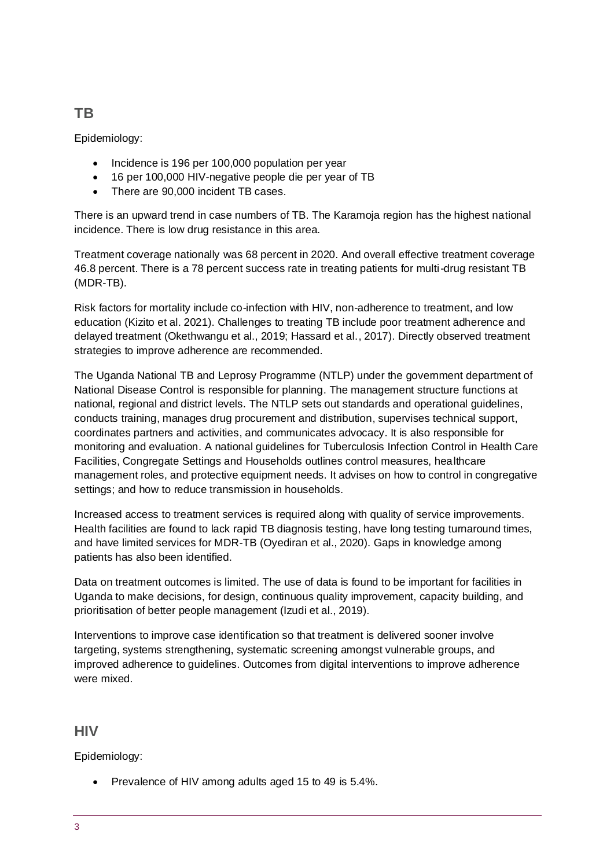# **TB**

Epidemiology:

- Incidence is 196 per 100,000 population per year
- 16 per 100,000 HIV-negative people die per year of TB
- There are 90,000 incident TB cases.

There is an upward trend in case numbers of TB. The Karamoja region has the highest national incidence. There is low drug resistance in this area.

Treatment coverage nationally was 68 percent in 2020. And overall effective treatment coverage 46.8 percent. There is a 78 percent success rate in treating patients for multi-drug resistant TB (MDR-TB).

Risk factors for mortality include co-infection with HIV, non-adherence to treatment, and low education (Kizito et al. 2021). Challenges to treating TB include poor treatment adherence and delayed treatment (Okethwangu et al., 2019; Hassard et al., 2017). Directly observed treatment strategies to improve adherence are recommended.

The Uganda National TB and Leprosy Programme (NTLP) under the government department of National Disease Control is responsible for planning. The management structure functions at national, regional and district levels. The NTLP sets out standards and operational guidelines, conducts training, manages drug procurement and distribution, supervises technical support, coordinates partners and activities, and communicates advocacy. It is also responsible for monitoring and evaluation. A national guidelines for Tuberculosis Infection Control in Health Care Facilities, Congregate Settings and Households outlines control measures, healthcare management roles, and protective equipment needs. It advises on how to control in congregative settings; and how to reduce transmission in households.

Increased access to treatment services is required along with quality of service improvements. Health facilities are found to lack rapid TB diagnosis testing, have long testing turnaround times, and have limited services for MDR-TB (Oyediran et al., 2020). Gaps in knowledge among patients has also been identified.

Data on treatment outcomes is limited. The use of data is found to be important for facilities in Uganda to make decisions, for design, continuous quality improvement, capacity building, and prioritisation of better people management (Izudi et al., 2019).

Interventions to improve case identification so that treatment is delivered sooner involve targeting, systems strengthening, systematic screening amongst vulnerable groups, and improved adherence to guidelines. Outcomes from digital interventions to improve adherence were mixed.

## **HIV**

Epidemiology:

• Prevalence of HIV among adults aged 15 to 49 is 5.4%.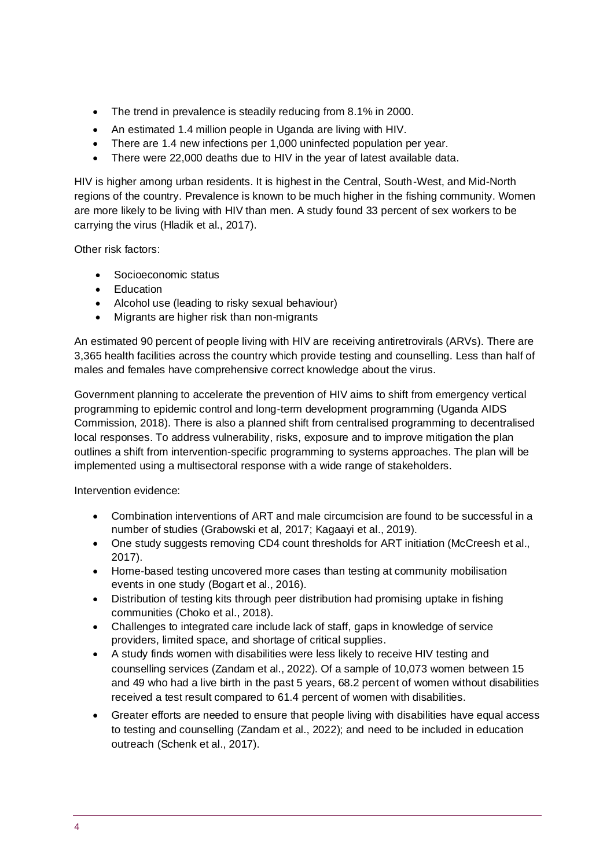- The trend in prevalence is steadily reducing from 8.1% in 2000.
- An estimated 1.4 million people in Uganda are living with HIV.
- There are 1.4 new infections per 1,000 uninfected population per year.
- There were 22,000 deaths due to HIV in the year of latest available data.

HIV is higher among urban residents. It is highest in the Central, South-West, and Mid-North regions of the country. Prevalence is known to be much higher in the fishing community. Women are more likely to be living with HIV than men. A study found 33 percent of sex workers to be carrying the virus (Hladik et al., 2017).

Other risk factors:

- Socioeconomic status
- Education
- Alcohol use (leading to risky sexual behaviour)
- Migrants are higher risk than non-migrants

An estimated 90 percent of people living with HIV are receiving antiretrovirals (ARVs). There are 3,365 health facilities across the country which provide testing and counselling. Less than half of males and females have comprehensive correct knowledge about the virus.

Government planning to accelerate the prevention of HIV aims to shift from emergency vertical programming to epidemic control and long-term development programming (Uganda AIDS Commission, 2018). There is also a planned shift from centralised programming to decentralised local responses. To address vulnerability, risks, exposure and to improve mitigation the plan outlines a shift from intervention-specific programming to systems approaches. The plan will be implemented using a multisectoral response with a wide range of stakeholders.

Intervention evidence:

- Combination interventions of ART and male circumcision are found to be successful in a number of studies (Grabowski et al, 2017; Kagaayi et al., 2019).
- One study suggests removing CD4 count thresholds for ART initiation (McCreesh et al., 2017).
- Home-based testing uncovered more cases than testing at community mobilisation events in one study (Bogart et al., 2016).
- Distribution of testing kits through peer distribution had promising uptake in fishing communities (Choko et al., 2018).
- Challenges to integrated care include lack of staff, gaps in knowledge of service providers, limited space, and shortage of critical supplies.
- A study finds women with disabilities were less likely to receive HIV testing and counselling services (Zandam et al., 2022). Of a sample of 10,073 women between 15 and 49 who had a live birth in the past 5 years, 68.2 percent of women without disabilities received a test result compared to 61.4 percent of women with disabilities.
- Greater efforts are needed to ensure that people living with disabilities have equal access to testing and counselling (Zandam et al., 2022); and need to be included in education outreach (Schenk et al., 2017).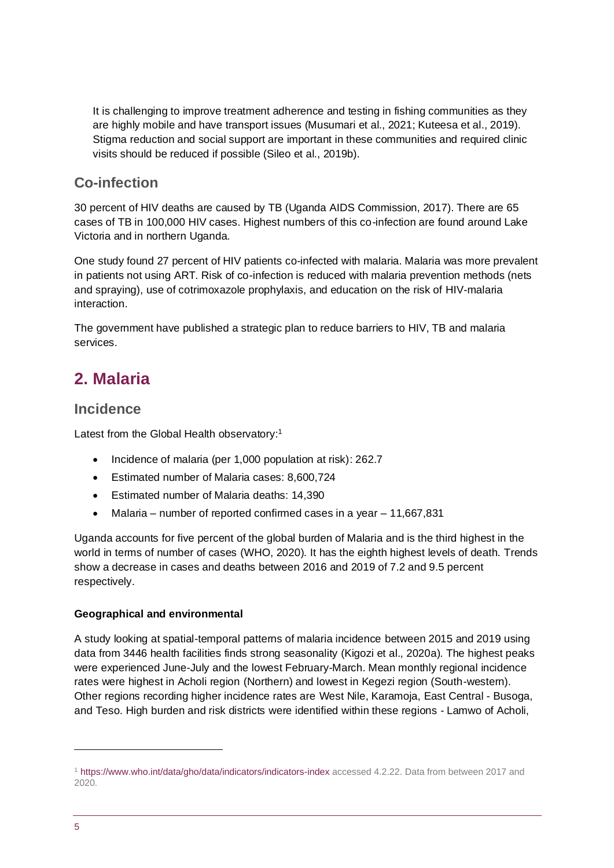It is challenging to improve treatment adherence and testing in fishing communities as they are highly mobile and have transport issues (Musumari et al., 2021; Kuteesa et al., 2019). Stigma reduction and social support are important in these communities and required clinic visits should be reduced if possible (Sileo et al., 2019b).

# **Co-infection**

30 percent of HIV deaths are caused by TB (Uganda AIDS Commission, 2017). There are 65 cases of TB in 100,000 HIV cases. Highest numbers of this co-infection are found around Lake Victoria and in northern Uganda.

One study found 27 percent of HIV patients co-infected with malaria. Malaria was more prevalent in patients not using ART. Risk of co-infection is reduced with malaria prevention methods (nets and spraying), use of cotrimoxazole prophylaxis, and education on the risk of HIV-malaria interaction.

The government have published a strategic plan to reduce barriers to HIV, TB and malaria services.

# <span id="page-4-0"></span>**2. Malaria**

# **Incidence**

Latest from the Global Health observatory:<sup>1</sup>

- Incidence of malaria (per 1,000 population at risk): 262.7
- Estimated number of Malaria cases: 8,600,724
- Estimated number of Malaria deaths: 14,390
- Malaria number of reported confirmed cases in a year 11,667,831

Uganda accounts for five percent of the global burden of Malaria and is the third highest in the world in terms of number of cases (WHO, 2020). It has the eighth highest levels of death. Trends show a decrease in cases and deaths between 2016 and 2019 of 7.2 and 9.5 percent respectively.

### **Geographical and environmental**

A study looking at spatial-temporal patterns of malaria incidence between 2015 and 2019 using data from 3446 health facilities finds strong seasonality (Kigozi et al., 2020a). The highest peaks were experienced June-July and the lowest February-March. Mean monthly regional incidence rates were highest in Acholi region (Northern) and lowest in Kegezi region (South-western). Other regions recording higher incidence rates are West Nile, Karamoja, East Central - Busoga, and Teso. High burden and risk districts were identified within these regions - Lamwo of Acholi,

<sup>1</sup> [https://www.who.int/data/gho/data/indicators/indicators-index](https://www.who.int/data/gho/data/indicators/indicators-index%20accessed%204.2.22) accessed 4.2.22. Data from between 2017 and 2020.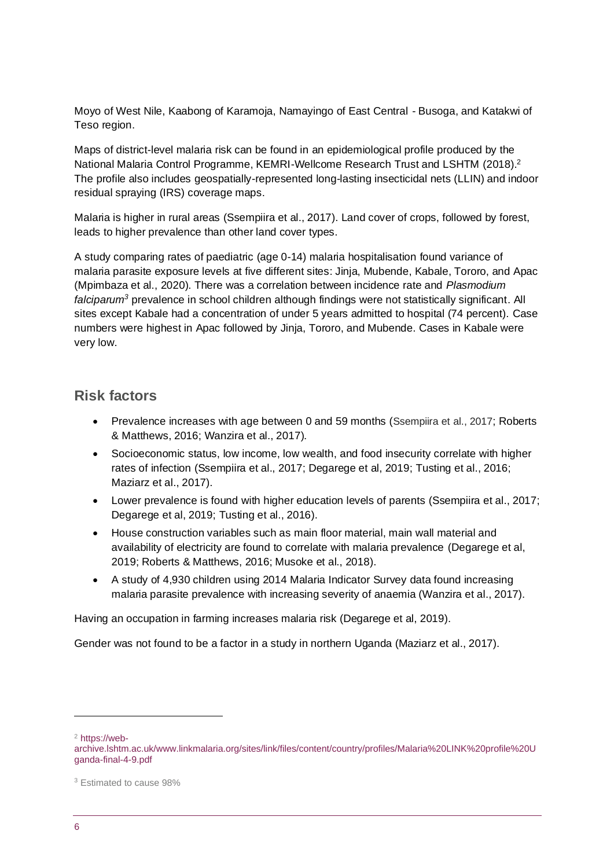Moyo of West Nile, Kaabong of Karamoja, Namayingo of East Central - Busoga, and Katakwi of Teso region.

Maps of district-level malaria risk can be found in an epidemiological profile produced by the National Malaria Control Programme, KEMRI-Wellcome Research Trust and LSHTM (2018).<sup>2</sup> The profile also includes geospatially-represented long-lasting insecticidal nets (LLIN) and indoor residual spraying (IRS) coverage maps.

Malaria is higher in rural areas (Ssempiira et al., 2017). Land cover of crops, followed by forest, leads to higher prevalence than other land cover types.

A study comparing rates of paediatric (age 0-14) malaria hospitalisation found variance of malaria parasite exposure levels at five different sites: Jinja, Mubende, Kabale, Tororo, and Apac (Mpimbaza et al., 2020). There was a correlation between incidence rate and *Plasmodium falciparum<sup>3</sup>* prevalence in school children although findings were not statistically significant. All sites except Kabale had a concentration of under 5 years admitted to hospital (74 percent). Case numbers were highest in Apac followed by Jinja, Tororo, and Mubende. Cases in Kabale were very low.

### **Risk factors**

- Prevalence increases with age between 0 and 59 months (Ssempiira et al., 2017; Roberts & Matthews, 2016; Wanzira et al., 2017).
- Socioeconomic status, low income, low wealth, and food insecurity correlate with higher rates of infection (Ssempiira et al., 2017; Degarege et al, 2019; Tusting et al., 2016; Maziarz et al., 2017).
- Lower prevalence is found with higher education levels of parents (Ssempiira et al., 2017; Degarege et al, 2019; Tusting et al., 2016).
- House construction variables such as main floor material, main wall material and availability of electricity are found to correlate with malaria prevalence (Degarege et al, 2019; Roberts & Matthews, 2016; Musoke et al., 2018).
- A study of 4,930 children using 2014 Malaria Indicator Survey data found increasing malaria parasite prevalence with increasing severity of anaemia (Wanzira et al., 2017).

Having an occupation in farming increases malaria risk (Degarege et al, 2019).

Gender was not found to be a factor in a study in northern Uganda (Maziarz et al., 2017).

<sup>2</sup> [https://web-](https://web-archive.lshtm.ac.uk/www.linkmalaria.org/sites/link/files/content/country/profiles/Malaria%20LINK%20profile%20Uganda-final-4-9.pdf)

[archive.lshtm.ac.uk/www.linkmalaria.org/sites/link/files/content/country/profiles/Malaria%20LINK%20profile%20U](https://web-archive.lshtm.ac.uk/www.linkmalaria.org/sites/link/files/content/country/profiles/Malaria%20LINK%20profile%20Uganda-final-4-9.pdf) [ganda-final-4-9.pdf](https://web-archive.lshtm.ac.uk/www.linkmalaria.org/sites/link/files/content/country/profiles/Malaria%20LINK%20profile%20Uganda-final-4-9.pdf)

<sup>3</sup> Estimated to cause 98%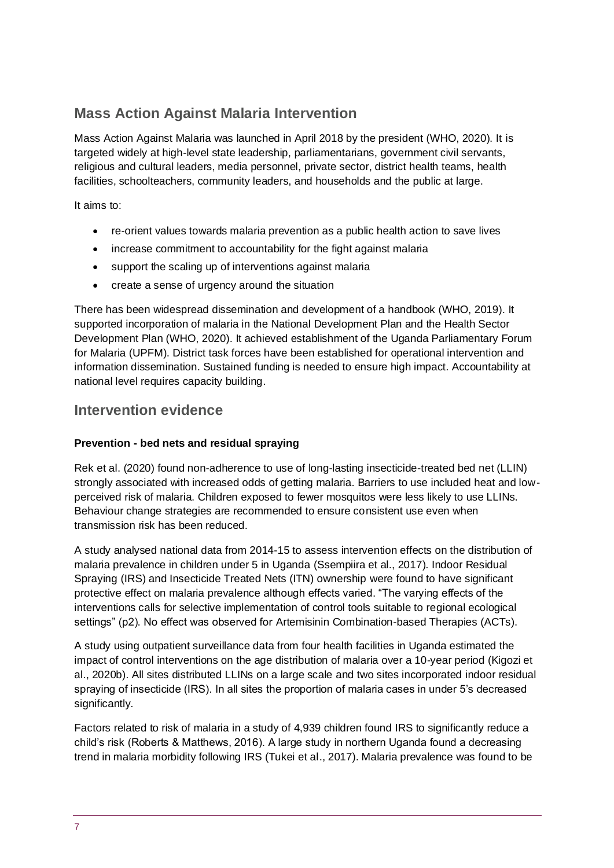# **Mass Action Against Malaria Intervention**

Mass Action Against Malaria was launched in April 2018 by the president (WHO, 2020). It is targeted widely at high-level state leadership, parliamentarians, government civil servants, religious and cultural leaders, media personnel, private sector, district health teams, health facilities, schoolteachers, community leaders, and households and the public at large.

It aims to:

- re-orient values towards malaria prevention as a public health action to save lives
- increase commitment to accountability for the fight against malaria
- support the scaling up of interventions against malaria
- create a sense of urgency around the situation

There has been widespread dissemination and development of a handbook (WHO, 2019). It supported incorporation of malaria in the National Development Plan and the Health Sector Development Plan (WHO, 2020). It achieved establishment of the Uganda Parliamentary Forum for Malaria (UPFM). District task forces have been established for operational intervention and information dissemination. Sustained funding is needed to ensure high impact. Accountability at national level requires capacity building.

## **Intervention evidence**

### **Prevention - bed nets and residual spraying**

Rek et al. (2020) found non-adherence to use of long-lasting insecticide-treated bed net (LLIN) strongly associated with increased odds of getting malaria. Barriers to use included heat and lowperceived risk of malaria. Children exposed to fewer mosquitos were less likely to use LLINs. Behaviour change strategies are recommended to ensure consistent use even when transmission risk has been reduced.

A study analysed national data from 2014-15 to assess intervention effects on the distribution of malaria prevalence in children under 5 in Uganda (Ssempiira et al., 2017). Indoor Residual Spraying (IRS) and Insecticide Treated Nets (ITN) ownership were found to have significant protective effect on malaria prevalence although effects varied. "The varying effects of the interventions calls for selective implementation of control tools suitable to regional ecological settings" (p2). No effect was observed for Artemisinin Combination-based Therapies (ACTs).

A study using outpatient surveillance data from four health facilities in Uganda estimated the impact of control interventions on the age distribution of malaria over a 10-year period (Kigozi et al., 2020b). All sites distributed LLINs on a large scale and two sites incorporated indoor residual spraying of insecticide (IRS). In all sites the proportion of malaria cases in under 5's decreased significantly.

Factors related to risk of malaria in a study of 4,939 children found IRS to significantly reduce a child's risk (Roberts & Matthews, 2016). A large study in northern Uganda found a decreasing trend in malaria morbidity following IRS (Tukei et al., 2017). Malaria prevalence was found to be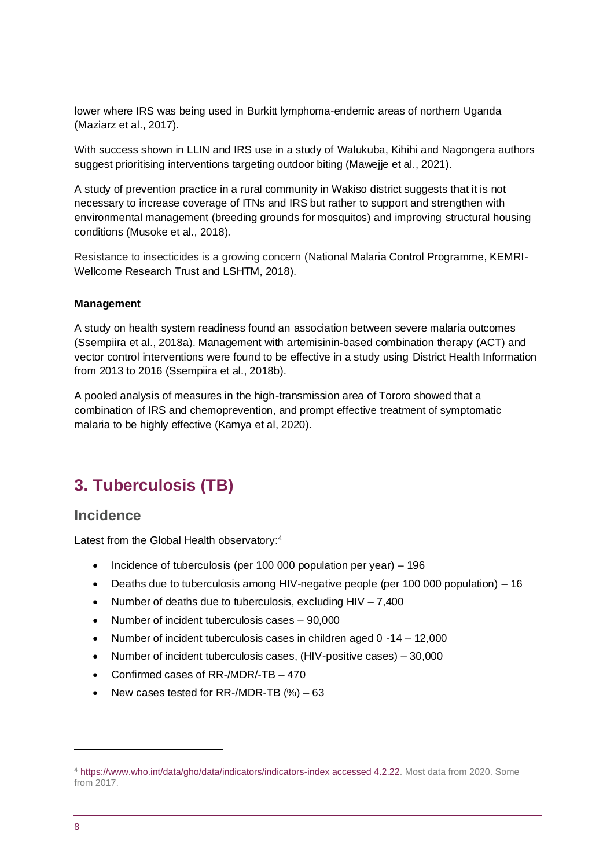lower where IRS was being used in Burkitt lymphoma-endemic areas of northern Uganda (Maziarz et al., 2017).

With success shown in LLIN and IRS use in a study of Walukuba, Kihihi and Nagongera authors suggest prioritising interventions targeting outdoor biting (Mawejje et al., 2021).

A study of prevention practice in a rural community in Wakiso district suggests that it is not necessary to increase coverage of ITNs and IRS but rather to support and strengthen with environmental management (breeding grounds for mosquitos) and improving structural housing conditions (Musoke et al., 2018).

Resistance to insecticides is a growing concern (National Malaria Control Programme, KEMRI-Wellcome Research Trust and LSHTM, 2018).

#### **Management**

A study on health system readiness found an association between severe malaria outcomes (Ssempiira et al., 2018a). Management with artemisinin-based combination therapy (ACT) and vector control interventions were found to be effective in a study using District Health Information from 2013 to 2016 (Ssempiira et al., 2018b).

A pooled analysis of measures in the high-transmission area of Tororo showed that a combination of IRS and chemoprevention, and prompt effective treatment of symptomatic malaria to be highly effective (Kamya et al, 2020).

# <span id="page-7-0"></span>**3. Tuberculosis (TB)**

### **Incidence**

Latest from the Global Health observatory:<sup>4</sup>

- Incidence of tuberculosis (per 100 000 population per year) 196
- Deaths due to tuberculosis among HIV-negative people (per 100 000 population) 16
- Number of deaths due to tuberculosis, excluding  $HIV 7,400$
- Number of incident tuberculosis cases 90,000
- Number of incident tuberculosis cases in children aged 0 -14 12,000
- Number of incident tuberculosis cases, (HIV-positive cases) 30,000
- Confirmed cases of RR-/MDR/-TB 470
- New cases tested for RR-/MDR-TB  $%$   $-63$

<sup>4</sup> [https://www.who.int/data/gho/data/indicators/indicators-index accessed 4.2.22.](https://www.who.int/data/gho/data/indicators/indicators-index%20accessed%204.2.22) Most data from 2020. Some from 2017.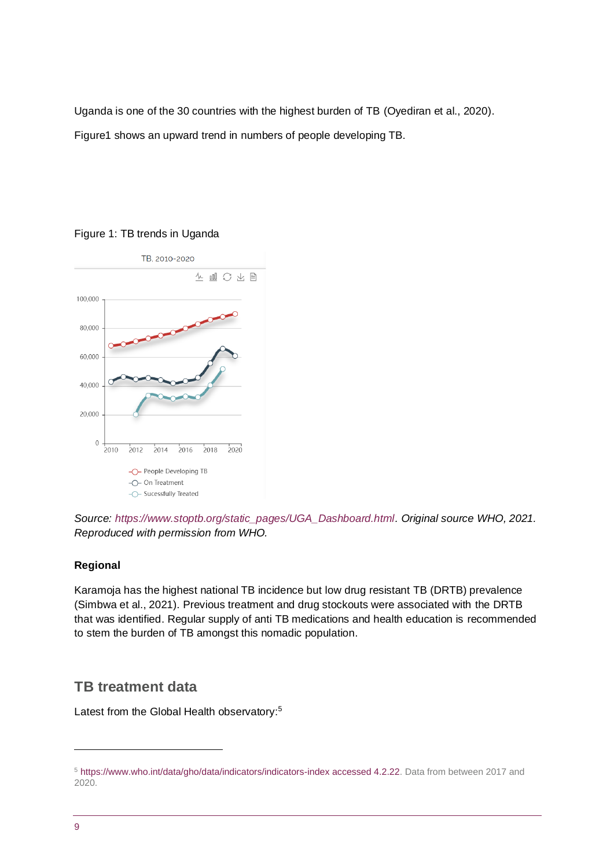Uganda is one of the 30 countries with the highest burden of TB (Oyediran et al., 2020). Figure1 shows an upward trend in numbers of people developing TB.

### Figure 1: TB trends in Uganda



*Source: [https://www.stoptb.org/static\\_pages/UGA\\_Dashboard.html.](https://www.stoptb.org/static_pages/UGA_Dashboard.html) Original source WHO, 2021. Reproduced with permission from WHO.* 

### **Regional**

Karamoja has the highest national TB incidence but low drug resistant TB (DRTB) prevalence (Simbwa et al., 2021). Previous treatment and drug stockouts were associated with the DRTB that was identified. Regular supply of anti TB medications and health education is recommended to stem the burden of TB amongst this nomadic population.

### **TB treatment data**

Latest from the Global Health observatory:<sup>5</sup>

<sup>5</sup> [https://www.who.int/data/gho/data/indicators/indicators-index accessed 4.2.22.](https://www.who.int/data/gho/data/indicators/indicators-index%20accessed%204.2.22) Data from between 2017 and 2020.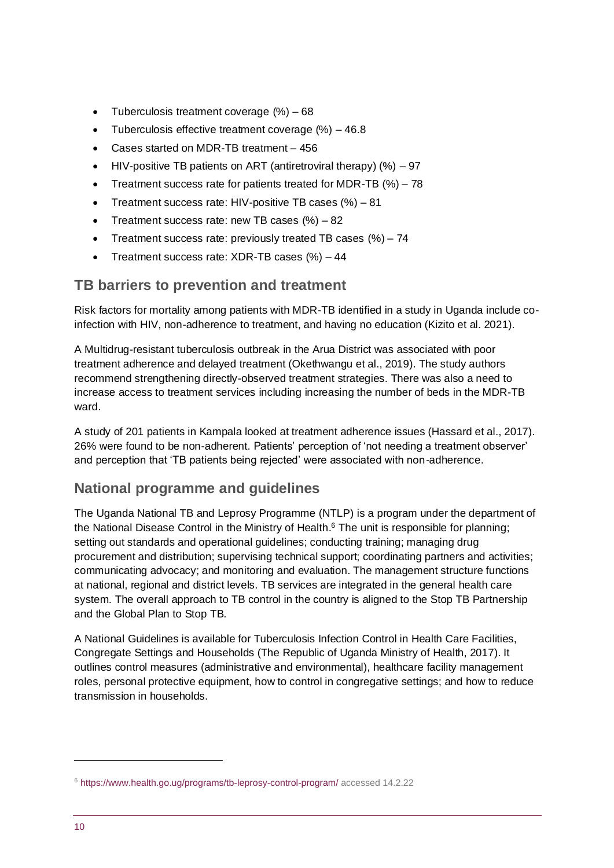- Tuberculosis treatment coverage (%) 68
- Tuberculosis effective treatment coverage  $(%) 46.8$
- Cases started on MDR-TB treatment 456
- HIV-positive TB patients on ART (antiretroviral therapy)  $(%) 97$
- Treatment success rate for patients treated for MDR-TB  $(\%)$  78
- Treatment success rate: HIV-positive TB cases (%) 81
- Treatment success rate: new TB cases  $(\%) 82$
- Treatment success rate: previously treated TB cases  $(\%) 74$
- Treatment success rate: XDR-TB cases (%) 44

### **TB barriers to prevention and treatment**

Risk factors for mortality among patients with MDR-TB identified in a study in Uganda include coinfection with HIV, non-adherence to treatment, and having no education (Kizito et al. 2021).

A Multidrug-resistant tuberculosis outbreak in the Arua District was associated with poor treatment adherence and delayed treatment (Okethwangu et al., 2019). The study authors recommend strengthening directly-observed treatment strategies. There was also a need to increase access to treatment services including increasing the number of beds in the MDR-TB ward.

A study of 201 patients in Kampala looked at treatment adherence issues (Hassard et al., 2017). 26% were found to be non-adherent. Patients' perception of 'not needing a treatment observer' and perception that 'TB patients being rejected' were associated with non-adherence.

## **National programme and guidelines**

The Uganda National TB and Leprosy Programme (NTLP) is a program under the department of the National Disease Control in the Ministry of Health.<sup>6</sup> The unit is responsible for planning; setting out standards and operational guidelines; conducting training; managing drug procurement and distribution; supervising technical support; coordinating partners and activities; communicating advocacy; and monitoring and evaluation. The management structure functions at national, regional and district levels. TB services are integrated in the general health care system. The overall approach to TB control in the country is aligned to the Stop TB Partnership and the Global Plan to Stop TB.

A National Guidelines is available for Tuberculosis Infection Control in Health Care Facilities, Congregate Settings and Households (The Republic of Uganda Ministry of Health, 2017). It outlines control measures (administrative and environmental), healthcare facility management roles, personal protective equipment, how to control in congregative settings; and how to reduce transmission in households.

<sup>6</sup> <https://www.health.go.ug/programs/tb-leprosy-control-program/> accessed 14.2.22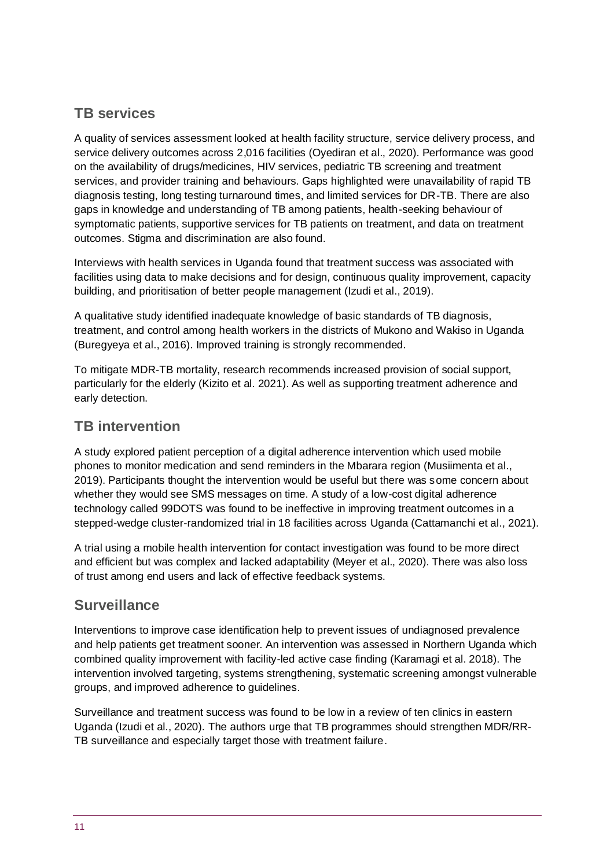# **TB services**

A quality of services assessment looked at health facility structure, service delivery process, and service delivery outcomes across 2,016 facilities (Oyediran et al., 2020). Performance was good on the availability of drugs/medicines, HIV services, pediatric TB screening and treatment services, and provider training and behaviours. Gaps highlighted were unavailability of rapid TB diagnosis testing, long testing turnaround times, and limited services for DR-TB. There are also gaps in knowledge and understanding of TB among patients, health-seeking behaviour of symptomatic patients, supportive services for TB patients on treatment, and data on treatment outcomes. Stigma and discrimination are also found.

Interviews with health services in Uganda found that treatment success was associated with facilities using data to make decisions and for design, continuous quality improvement, capacity building, and prioritisation of better people management (Izudi et al., 2019).

A qualitative study identified inadequate knowledge of basic standards of TB diagnosis, treatment, and control among health workers in the districts of Mukono and Wakiso in Uganda (Buregyeya et al., 2016). Improved training is strongly recommended.

To mitigate MDR-TB mortality, research recommends increased provision of social support, particularly for the elderly (Kizito et al. 2021). As well as supporting treatment adherence and early detection.

### **TB intervention**

A study explored patient perception of a digital adherence intervention which used mobile phones to monitor medication and send reminders in the Mbarara region (Musiimenta et al., 2019). Participants thought the intervention would be useful but there was some concern about whether they would see SMS messages on time. A study of a low-cost digital adherence technology called 99DOTS was found to be ineffective in improving treatment outcomes in a stepped-wedge cluster-randomized trial in 18 facilities across Uganda (Cattamanchi et al., 2021).

A trial using a mobile health intervention for contact investigation was found to be more direct and efficient but was complex and lacked adaptability (Meyer et al., 2020). There was also loss of trust among end users and lack of effective feedback systems.

## **Surveillance**

Interventions to improve case identification help to prevent issues of undiagnosed prevalence and help patients get treatment sooner. An intervention was assessed in Northern Uganda which combined quality improvement with facility-led active case finding (Karamagi et al. 2018). The intervention involved targeting, systems strengthening, systematic screening amongst vulnerable groups, and improved adherence to guidelines.

Surveillance and treatment success was found to be low in a review of ten clinics in eastern Uganda (Izudi et al., 2020). The authors urge that TB programmes should strengthen MDR/RR-TB surveillance and especially target those with treatment failure.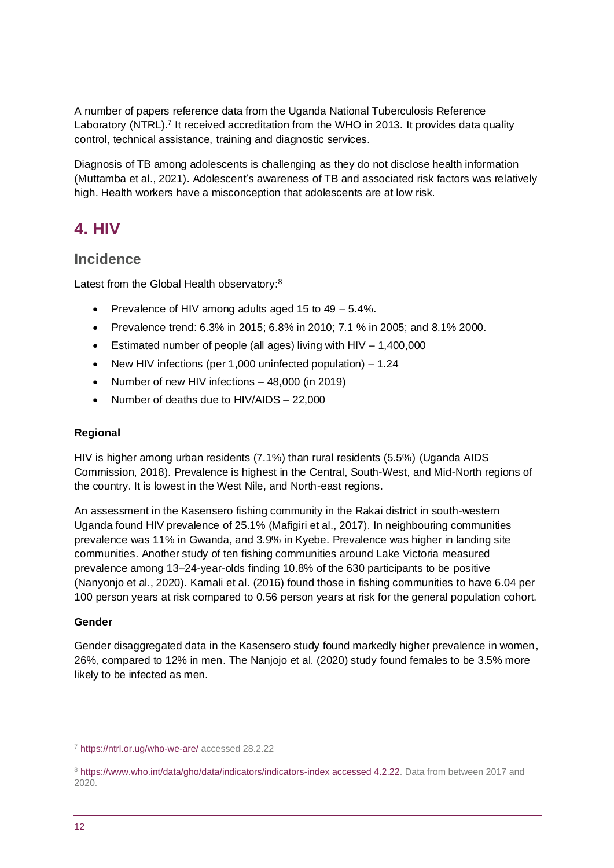A number of papers reference data from the Uganda National Tuberculosis Reference Laboratory (NTRL).<sup>7</sup> It received accreditation from the WHO in 2013. It provides data quality control, technical assistance, training and diagnostic services.

Diagnosis of TB among adolescents is challenging as they do not disclose health information (Muttamba et al., 2021). Adolescent's awareness of TB and associated risk factors was relatively high. Health workers have a misconception that adolescents are at low risk.

# <span id="page-11-0"></span>**4. HIV**

## **Incidence**

Latest from the Global Health observatory:<sup>8</sup>

- Prevalence of HIV among adults aged 15 to 49 5.4%.
- Prevalence trend: 6.3% in 2015; 6.8% in 2010; 7.1 % in 2005; and 8.1% 2000.
- Estimated number of people (all ages) living with  $HIV 1,400,000$
- New HIV infections (per 1,000 uninfected population) 1.24
- Number of new HIV infections 48,000 (in 2019)
- Number of deaths due to HIV/AIDS 22,000

### **Regional**

HIV is higher among urban residents (7.1%) than rural residents (5.5%) (Uganda AIDS Commission, 2018). Prevalence is highest in the Central, South-West, and Mid-North regions of the country. It is lowest in the West Nile, and North-east regions.

An assessment in the Kasensero fishing community in the Rakai district in south-western Uganda found HIV prevalence of 25.1% (Mafigiri et al., 2017). In neighbouring communities prevalence was 11% in Gwanda, and 3.9% in Kyebe. Prevalence was higher in landing site communities. Another study of ten fishing communities around Lake Victoria measured prevalence among 13–24-year-olds finding 10.8% of the 630 participants to be positive (Nanyonjo et al., 2020). Kamali et al. (2016) found those in fishing communities to have 6.04 per 100 person years at risk compared to 0.56 person years at risk for the general population cohort.

### **Gender**

Gender disaggregated data in the Kasensero study found markedly higher prevalence in women, 26%, compared to 12% in men. The Nanjojo et al. (2020) study found females to be 3.5% more likely to be infected as men.

<sup>7</sup> <https://ntrl.or.ug/who-we-are/> accessed 28.2.22

<sup>8</sup> [https://www.who.int/data/gho/data/indicators/indicators-index accessed 4.2.22.](https://www.who.int/data/gho/data/indicators/indicators-index%20accessed%204.2.22) Data from between 2017 and 2020.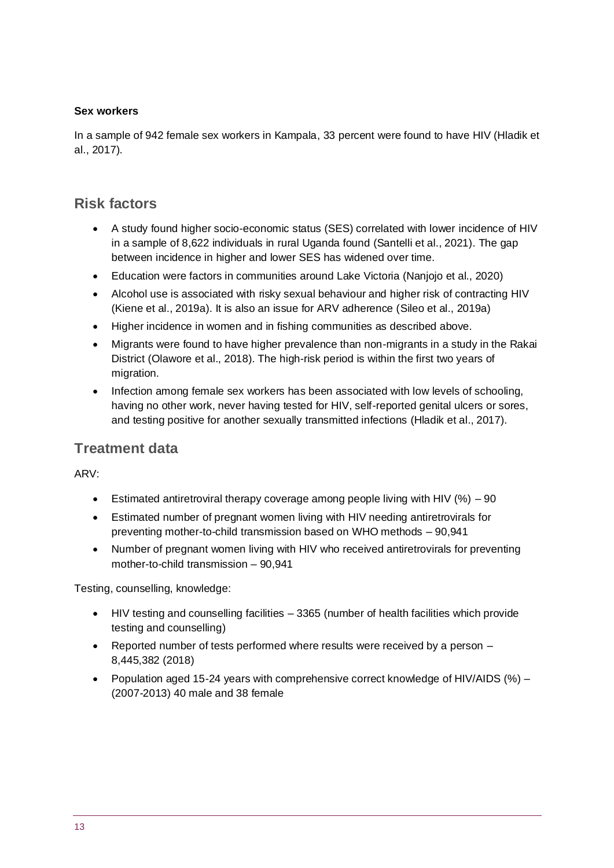### **Sex workers**

In a sample of 942 female sex workers in Kampala, 33 percent were found to have HIV (Hladik et al., 2017).

# **Risk factors**

- A study found higher socio-economic status (SES) correlated with lower incidence of HIV in a sample of 8,622 individuals in rural Uganda found (Santelli et al., 2021). The gap between incidence in higher and lower SES has widened over time.
- Education were factors in communities around Lake Victoria (Nanjojo et al., 2020)
- Alcohol use is associated with risky sexual behaviour and higher risk of contracting HIV (Kiene et al., 2019a). It is also an issue for ARV adherence (Sileo et al., 2019a)
- Higher incidence in women and in fishing communities as described above.
- Migrants were found to have higher prevalence than non-migrants in a study in the Rakai District (Olawore et al., 2018). The high-risk period is within the first two years of migration.
- Infection among female sex workers has been associated with low levels of schooling, having no other work, never having tested for HIV, self-reported genital ulcers or sores, and testing positive for another sexually transmitted infections (Hladik et al., 2017).

### **Treatment data**

ARV:

- Estimated antiretroviral therapy coverage among people living with HIV  $(\%) 90$
- Estimated number of pregnant women living with HIV needing antiretrovirals for preventing mother-to-child transmission based on WHO methods – 90,941
- Number of pregnant women living with HIV who received antiretrovirals for preventing mother-to-child transmission – 90,941

Testing, counselling, knowledge:

- HIV testing and counselling facilities 3365 (number of health facilities which provide testing and counselling)
- Reported number of tests performed where results were received by a person 8,445,382 (2018)
- Population aged 15-24 years with comprehensive correct knowledge of HIV/AIDS (%) (2007-2013) 40 male and 38 female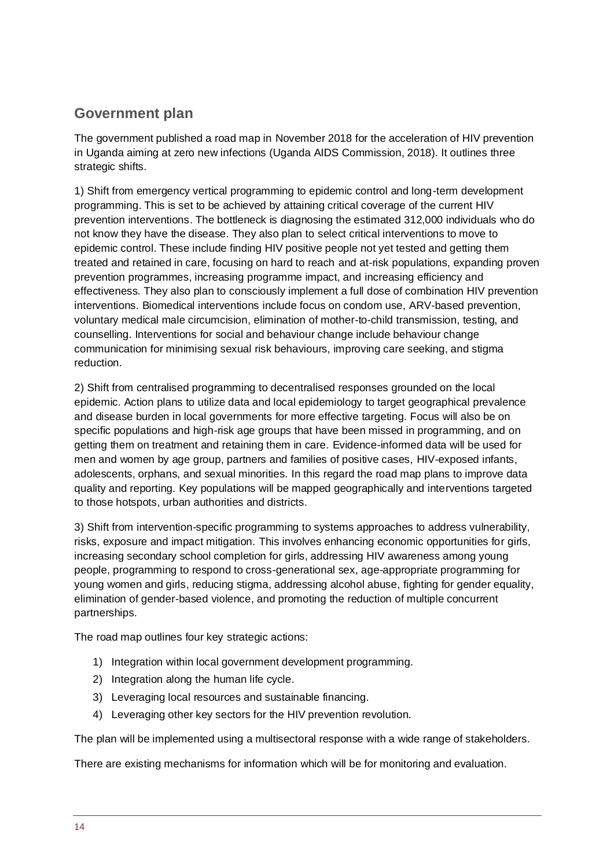# **Government plan**

The government published a road map in November 2018 for the acceleration of HIV prevention in Uganda aiming at zero new infections (Uganda AIDS Commission, 2018). It outlines three strategic shifts.

1) Shift from emergency vertical programming to epidemic control and long-term development programming. This is set to be achieved by attaining critical coverage of the current HIV prevention interventions. The bottleneck is diagnosing the estimated 312,000 individuals who do not know they have the disease. They also plan to select critical interventions to move to epidemic control. These include finding HIV positive people not yet tested and getting them treated and retained in care, focusing on hard to reach and at-risk populations, expanding proven prevention programmes, increasing programme impact, and increasing efficiency and effectiveness. They also plan to consciously implement a full dose of combination HIV prevention interventions. Biomedical interventions include focus on condom use, ARV-based prevention, voluntary medical male circumcision, elimination of mother-to-child transmission, testing, and counselling. Interventions for social and behaviour change include behaviour change communication for minimising sexual risk behaviours, improving care seeking, and stigma reduction.

2) Shift from centralised programming to decentralised responses grounded on the local epidemic. Action plans to utilize data and local epidemiology to target geographical prevalence and disease burden in local governments for more effective targeting. Focus will also be on specific populations and high-risk age groups that have been missed in programming, and on getting them on treatment and retaining them in care. Evidence-informed data will be used for men and women by age group, partners and families of positive cases, HIV-exposed infants, adolescents, orphans, and sexual minorities. In this regard the road map plans to improve data quality and reporting. Key populations will be mapped geographically and interventions targeted to those hotspots, urban authorities and districts.

3) Shift from intervention-specific programming to systems approaches to address vulnerability, risks, exposure and impact mitigation. This involves enhancing economic opportunities for girls, increasing secondary school completion for girls, addressing HIV awareness among young people, programming to respond to cross-generational sex, age-appropriate programming for young women and girls, reducing stigma, addressing alcohol abuse, fighting for gender equality, elimination of gender-based violence, and promoting the reduction of multiple concurrent partnerships.

The road map outlines four key strategic actions:

- 1) Integration within local government development programming.
- 2) Integration along the human life cycle.
- 3) Leveraging local resources and sustainable financing.
- 4) Leveraging other key sectors for the HIV prevention revolution.

The plan will be implemented using a multisectoral response with a wide range of stakeholders.

There are existing mechanisms for information which will be for monitoring and evaluation.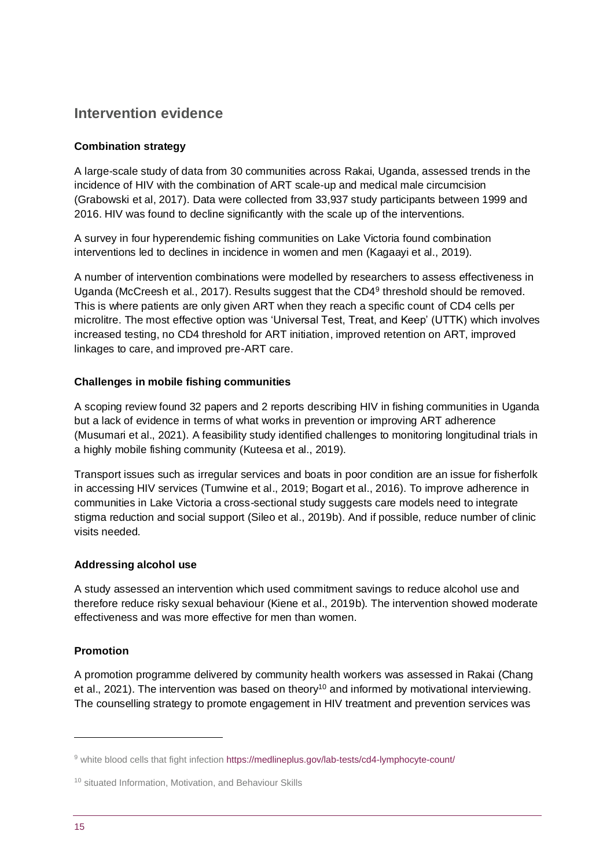# **Intervention evidence**

### **Combination strategy**

A large-scale study of data from 30 communities across Rakai, Uganda, assessed trends in the incidence of HIV with the combination of ART scale-up and medical male circumcision (Grabowski et al, 2017). Data were collected from 33,937 study participants between 1999 and 2016. HIV was found to decline significantly with the scale up of the interventions.

A survey in four hyperendemic fishing communities on Lake Victoria found combination interventions led to declines in incidence in women and men (Kagaayi et al., 2019).

A number of intervention combinations were modelled by researchers to assess effectiveness in Uganda (McCreesh et al., 2017). Results suggest that the CD4<sup>9</sup> threshold should be removed. This is where patients are only given ART when they reach a specific count of CD4 cells per microlitre. The most effective option was 'Universal Test, Treat, and Keep' (UTTK) which involves increased testing, no CD4 threshold for ART initiation, improved retention on ART, improved linkages to care, and improved pre-ART care.

### **Challenges in mobile fishing communities**

A scoping review found 32 papers and 2 reports describing HIV in fishing communities in Uganda but a lack of evidence in terms of what works in prevention or improving ART adherence (Musumari et al., 2021). A feasibility study identified challenges to monitoring longitudinal trials in a highly mobile fishing community (Kuteesa et al., 2019).

Transport issues such as irregular services and boats in poor condition are an issue for fisherfolk in accessing HIV services (Tumwine et al., 2019; Bogart et al., 2016). To improve adherence in communities in Lake Victoria a cross-sectional study suggests care models need to integrate stigma reduction and social support (Sileo et al., 2019b). And if possible, reduce number of clinic visits needed.

### **Addressing alcohol use**

A study assessed an intervention which used commitment savings to reduce alcohol use and therefore reduce risky sexual behaviour (Kiene et al., 2019b). The intervention showed moderate effectiveness and was more effective for men than women.

### **Promotion**

A promotion programme delivered by community health workers was assessed in Rakai (Chang et al., 2021). The intervention was based on theory<sup>10</sup> and informed by motivational interviewing. The counselling strategy to promote engagement in HIV treatment and prevention services was

<sup>9</sup> white blood cells that fight infection <https://medlineplus.gov/lab-tests/cd4-lymphocyte-count/>

<sup>&</sup>lt;sup>10</sup> situated Information, Motivation, and Behaviour Skills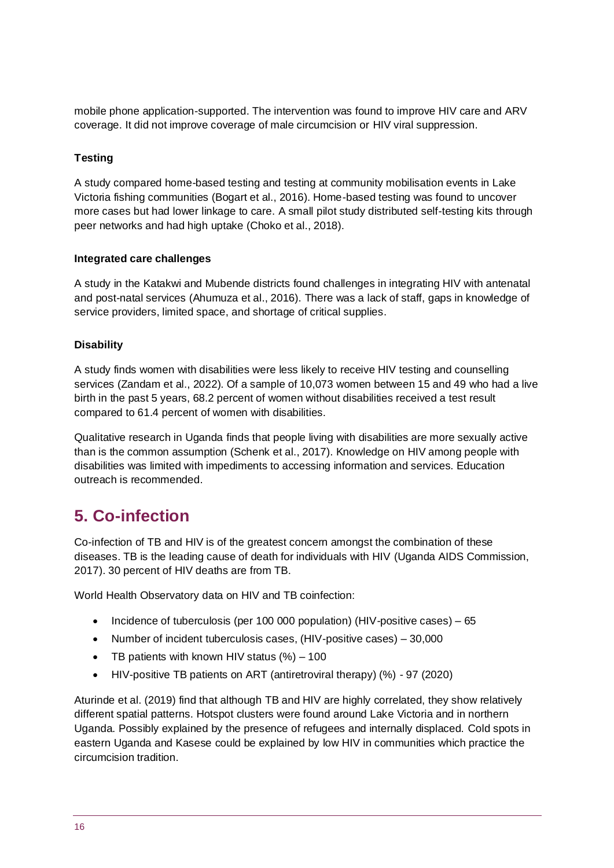mobile phone application-supported. The intervention was found to improve HIV care and ARV coverage. It did not improve coverage of male circumcision or HIV viral suppression.

### **Testing**

A study compared home-based testing and testing at community mobilisation events in Lake Victoria fishing communities (Bogart et al., 2016). Home-based testing was found to uncover more cases but had lower linkage to care. A small pilot study distributed self-testing kits through peer networks and had high uptake (Choko et al., 2018).

#### **Integrated care challenges**

A study in the Katakwi and Mubende districts found challenges in integrating HIV with antenatal and post-natal services (Ahumuza et al., 2016). There was a lack of staff, gaps in knowledge of service providers, limited space, and shortage of critical supplies.

### **Disability**

A study finds women with disabilities were less likely to receive HIV testing and counselling services (Zandam et al., 2022). Of a sample of 10,073 women between 15 and 49 who had a live birth in the past 5 years, 68.2 percent of women without disabilities received a test result compared to 61.4 percent of women with disabilities.

Qualitative research in Uganda finds that people living with disabilities are more sexually active than is the common assumption (Schenk et al., 2017). Knowledge on HIV among people with disabilities was limited with impediments to accessing information and services. Education outreach is recommended.

# <span id="page-15-0"></span>**5. Co-infection**

Co-infection of TB and HIV is of the greatest concern amongst the combination of these diseases. TB is the leading cause of death for individuals with HIV (Uganda AIDS Commission, 2017). 30 percent of HIV deaths are from TB.

World Health Observatory data on HIV and TB coinfection:

- Incidence of tuberculosis (per 100 000 population) (HIV-positive cases) 65
- Number of incident tuberculosis cases, (HIV-positive cases) 30,000
- TB patients with known HIV status  $%$  /  $\sim$  100
- HIV-positive TB patients on ART (antiretroviral therapy) (%) 97 (2020)

Aturinde et al. (2019) find that although TB and HIV are highly correlated, they show relatively different spatial patterns. Hotspot clusters were found around Lake Victoria and in northern Uganda. Possibly explained by the presence of refugees and internally displaced. Cold spots in eastern Uganda and Kasese could be explained by low HIV in communities which practice the circumcision tradition.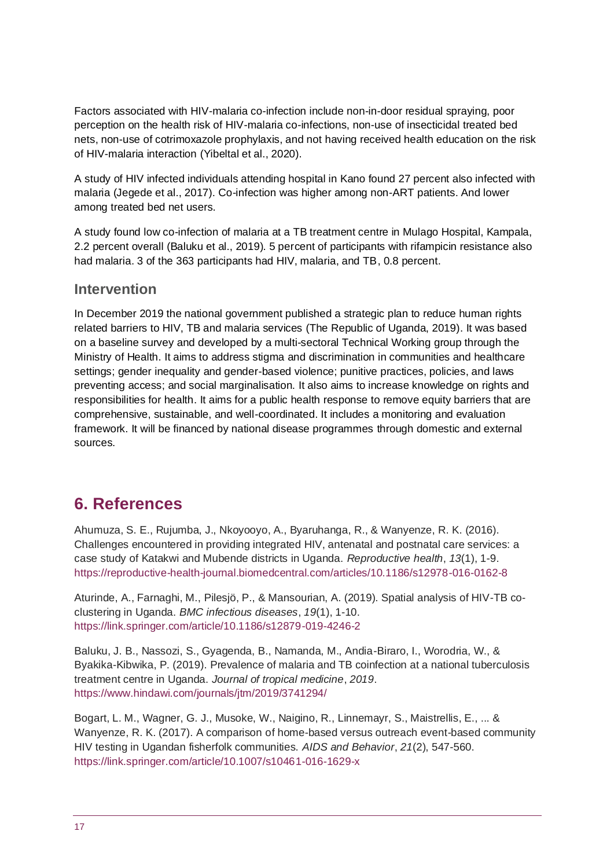Factors associated with HIV-malaria co-infection include non-in-door residual spraying, poor perception on the health risk of HIV-malaria co-infections, non-use of insecticidal treated bed nets, non-use of cotrimoxazole prophylaxis, and not having received health education on the risk of HIV-malaria interaction (Yibeltal et al., 2020).

A study of HIV infected individuals attending hospital in Kano found 27 percent also infected with malaria (Jegede et al., 2017). Co-infection was higher among non-ART patients. And lower among treated bed net users.

A study found low co-infection of malaria at a TB treatment centre in Mulago Hospital, Kampala, 2.2 percent overall (Baluku et al., 2019). 5 percent of participants with rifampicin resistance also had malaria. 3 of the 363 participants had HIV, malaria, and TB, 0.8 percent.

### **Intervention**

In December 2019 the national government published a strategic plan to reduce human rights related barriers to HIV, TB and malaria services (The Republic of Uganda, 2019). It was based on a baseline survey and developed by a multi-sectoral Technical Working group through the Ministry of Health. It aims to address stigma and discrimination in communities and healthcare settings; gender inequality and gender-based violence; punitive practices, policies, and laws preventing access; and social marginalisation. It also aims to increase knowledge on rights and responsibilities for health. It aims for a public health response to remove equity barriers that are comprehensive, sustainable, and well-coordinated. It includes a monitoring and evaluation framework. It will be financed by national disease programmes through domestic and external sources.

# <span id="page-16-0"></span>**6. References**

Ahumuza, S. E., Rujumba, J., Nkoyooyo, A., Byaruhanga, R., & Wanyenze, R. K. (2016). Challenges encountered in providing integrated HIV, antenatal and postnatal care services: a case study of Katakwi and Mubende districts in Uganda. *Reproductive health*, *13*(1), 1-9. <https://reproductive-health-journal.biomedcentral.com/articles/10.1186/s12978-016-0162-8>

Aturinde, A., Farnaghi, M., Pilesjö, P., & Mansourian, A. (2019). Spatial analysis of HIV-TB coclustering in Uganda. *BMC infectious diseases*, *19*(1), 1-10. <https://link.springer.com/article/10.1186/s12879-019-4246-2>

Baluku, J. B., Nassozi, S., Gyagenda, B., Namanda, M., Andia-Biraro, I., Worodria, W., & Byakika-Kibwika, P. (2019). Prevalence of malaria and TB coinfection at a national tuberculosis treatment centre in Uganda. *Journal of tropical medicine*, *2019*. <https://www.hindawi.com/journals/jtm/2019/3741294/>

Bogart, L. M., Wagner, G. J., Musoke, W., Naigino, R., Linnemayr, S., Maistrellis, E., ... & Wanyenze, R. K. (2017). A comparison of home-based versus outreach event-based community HIV testing in Ugandan fisherfolk communities. *AIDS and Behavior*, *21*(2), 547-560. <https://link.springer.com/article/10.1007/s10461-016-1629-x>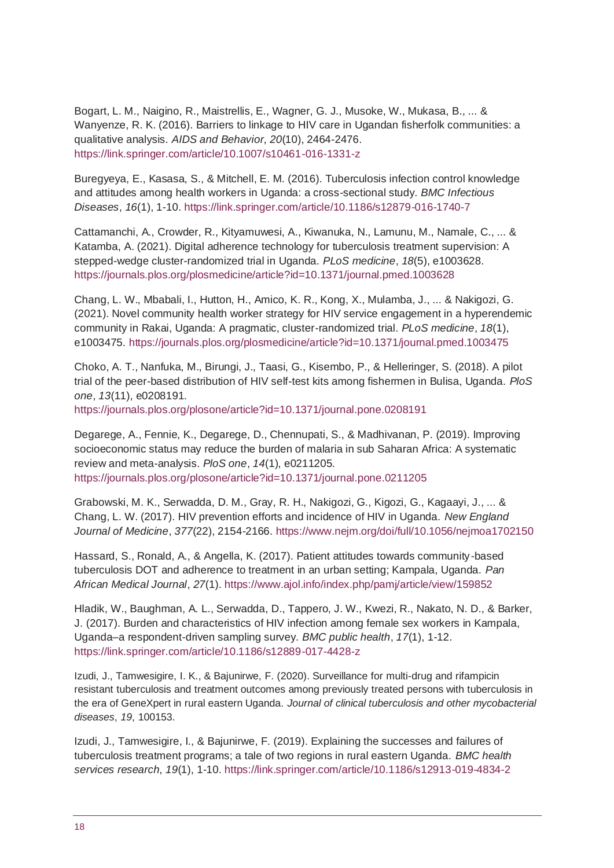Bogart, L. M., Naigino, R., Maistrellis, E., Wagner, G. J., Musoke, W., Mukasa, B., ... & Wanyenze, R. K. (2016). Barriers to linkage to HIV care in Ugandan fisherfolk communities: a qualitative analysis. *AIDS and Behavior*, *20*(10), 2464-2476. <https://link.springer.com/article/10.1007/s10461-016-1331-z>

Buregyeya, E., Kasasa, S., & Mitchell, E. M. (2016). Tuberculosis infection control knowledge and attitudes among health workers in Uganda: a cross-sectional study. *BMC Infectious Diseases*, *16*(1), 1-10[. https://link.springer.com/article/10.1186/s12879-016-1740-7](https://link.springer.com/article/10.1186/s12879-016-1740-7)

Cattamanchi, A., Crowder, R., Kityamuwesi, A., Kiwanuka, N., Lamunu, M., Namale, C., ... & Katamba, A. (2021). Digital adherence technology for tuberculosis treatment supervision: A stepped-wedge cluster-randomized trial in Uganda. *PLoS medicine*, *18*(5), e1003628. <https://journals.plos.org/plosmedicine/article?id=10.1371/journal.pmed.1003628>

Chang, L. W., Mbabali, I., Hutton, H., Amico, K. R., Kong, X., Mulamba, J., ... & Nakigozi, G. (2021). Novel community health worker strategy for HIV service engagement in a hyperendemic community in Rakai, Uganda: A pragmatic, cluster-randomized trial. *PLoS medicine*, *18*(1), e1003475.<https://journals.plos.org/plosmedicine/article?id=10.1371/journal.pmed.1003475>

Choko, A. T., Nanfuka, M., Birungi, J., Taasi, G., Kisembo, P., & Helleringer, S. (2018). A pilot trial of the peer-based distribution of HIV self-test kits among fishermen in Bulisa, Uganda. *PloS one*, *13*(11), e0208191.

<https://journals.plos.org/plosone/article?id=10.1371/journal.pone.0208191>

Degarege, A., Fennie, K., Degarege, D., Chennupati, S., & Madhivanan, P. (2019). Improving socioeconomic status may reduce the burden of malaria in sub Saharan Africa: A systematic review and meta-analysis. *PloS one*, *14*(1), e0211205. <https://journals.plos.org/plosone/article?id=10.1371/journal.pone.0211205>

Grabowski, M. K., Serwadda, D. M., Gray, R. H., Nakigozi, G., Kigozi, G., Kagaayi, J., ... & Chang, L. W. (2017). HIV prevention efforts and incidence of HIV in Uganda. *New England Journal of Medicine*, *377*(22), 2154-2166.<https://www.nejm.org/doi/full/10.1056/nejmoa1702150>

Hassard, S., Ronald, A., & Angella, K. (2017). Patient attitudes towards community-based tuberculosis DOT and adherence to treatment in an urban setting; Kampala, Uganda. *Pan African Medical Journal*, *27*(1)[. https://www.ajol.info/index.php/pamj/article/view/159852](https://www.ajol.info/index.php/pamj/article/view/159852)

Hladik, W., Baughman, A. L., Serwadda, D., Tappero, J. W., Kwezi, R., Nakato, N. D., & Barker, J. (2017). Burden and characteristics of HIV infection among female sex workers in Kampala, Uganda–a respondent-driven sampling survey. *BMC public health*, *17*(1), 1-12. <https://link.springer.com/article/10.1186/s12889-017-4428-z>

Izudi, J., Tamwesigire, I. K., & Bajunirwe, F. (2020). Surveillance for multi-drug and rifampicin resistant tuberculosis and treatment outcomes among previously treated persons with tuberculosis in the era of GeneXpert in rural eastern Uganda. *Journal of clinical tuberculosis and other mycobacterial diseases*, *19*, 100153.

Izudi, J., Tamwesigire, I., & Bajunirwe, F. (2019). Explaining the successes and failures of tuberculosis treatment programs; a tale of two regions in rural eastern Uganda. *BMC health services research*, *19*(1), 1-10[. https://link.springer.com/article/10.1186/s12913-019-4834-2](https://link.springer.com/article/10.1186/s12913-019-4834-2)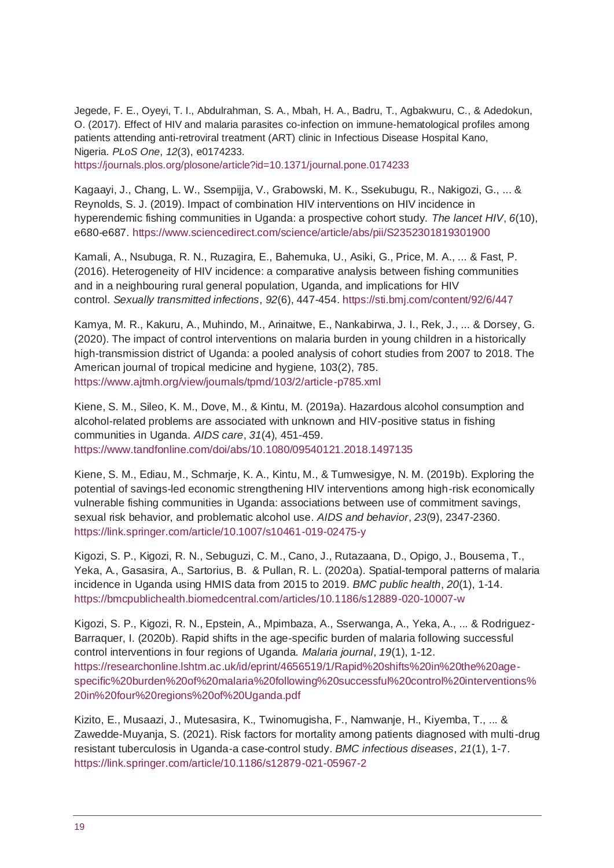Jegede, F. E., Oyeyi, T. I., Abdulrahman, S. A., Mbah, H. A., Badru, T., Agbakwuru, C., & Adedokun, O. (2017). Effect of HIV and malaria parasites co-infection on immune-hematological profiles among patients attending anti-retroviral treatment (ART) clinic in Infectious Disease Hospital Kano, Nigeria. *PLoS One*, *12*(3), e0174233. <https://journals.plos.org/plosone/article?id=10.1371/journal.pone.0174233>

Kagaayi, J., Chang, L. W., Ssempijja, V., Grabowski, M. K., Ssekubugu, R., Nakigozi, G., ... & Reynolds, S. J. (2019). Impact of combination HIV interventions on HIV incidence in hyperendemic fishing communities in Uganda: a prospective cohort study. *The lancet HIV*, *6*(10), e680-e687.<https://www.sciencedirect.com/science/article/abs/pii/S2352301819301900>

Kamali, A., Nsubuga, R. N., Ruzagira, E., Bahemuka, U., Asiki, G., Price, M. A., ... & Fast, P. (2016). Heterogeneity of HIV incidence: a comparative analysis between fishing communities and in a neighbouring rural general population, Uganda, and implications for HIV control. *Sexually transmitted infections*, *92*(6), 447-454[. https://sti.bmj.com/content/92/6/447](https://sti.bmj.com/content/92/6/447)

Kamya, M. R., Kakuru, A., Muhindo, M., Arinaitwe, E., Nankabirwa, J. I., Rek, J., ... & Dorsey, G. (2020). The impact of control interventions on malaria burden in young children in a historically high-transmission district of Uganda: a pooled analysis of cohort studies from 2007 to 2018. The American journal of tropical medicine and hygiene, 103(2), 785. <https://www.ajtmh.org/view/journals/tpmd/103/2/article-p785.xml>

Kiene, S. M., Sileo, K. M., Dove, M., & Kintu, M. (2019a). Hazardous alcohol consumption and alcohol-related problems are associated with unknown and HIV-positive status in fishing communities in Uganda. *AIDS care*, *31*(4), 451-459. <https://www.tandfonline.com/doi/abs/10.1080/09540121.2018.1497135>

Kiene, S. M., Ediau, M., Schmarje, K. A., Kintu, M., & Tumwesigye, N. M. (2019b). Exploring the potential of savings-led economic strengthening HIV interventions among high-risk economically vulnerable fishing communities in Uganda: associations between use of commitment savings, sexual risk behavior, and problematic alcohol use. *AIDS and behavior*, *23*(9), 2347-2360. <https://link.springer.com/article/10.1007/s10461-019-02475-y>

Kigozi, S. P., Kigozi, R. N., Sebuguzi, C. M., Cano, J., Rutazaana, D., Opigo, J., Bousema, T., Yeka, A., Gasasira, A., Sartorius, B. & Pullan, R. L. (2020a). Spatial-temporal patterns of malaria incidence in Uganda using HMIS data from 2015 to 2019. *BMC public health*, *20*(1), 1-14. <https://bmcpublichealth.biomedcentral.com/articles/10.1186/s12889-020-10007-w>

Kigozi, S. P., Kigozi, R. N., Epstein, A., Mpimbaza, A., Sserwanga, A., Yeka, A., ... & Rodriguez-Barraquer, I. (2020b). Rapid shifts in the age-specific burden of malaria following successful control interventions in four regions of Uganda. *Malaria journal*, *19*(1), 1-12. [https://researchonline.lshtm.ac.uk/id/eprint/4656519/1/Rapid%20shifts%20in%20the%20age](https://researchonline.lshtm.ac.uk/id/eprint/4656519/1/Rapid%20shifts%20in%20the%20age-specific%20burden%20of%20malaria%20following%20successful%20control%20interventions%20in%20four%20regions%20of%20Uganda.pdf)[specific%20burden%20of%20malaria%20following%20successful%20control%20interventions%](https://researchonline.lshtm.ac.uk/id/eprint/4656519/1/Rapid%20shifts%20in%20the%20age-specific%20burden%20of%20malaria%20following%20successful%20control%20interventions%20in%20four%20regions%20of%20Uganda.pdf) [20in%20four%20regions%20of%20Uganda.pdf](https://researchonline.lshtm.ac.uk/id/eprint/4656519/1/Rapid%20shifts%20in%20the%20age-specific%20burden%20of%20malaria%20following%20successful%20control%20interventions%20in%20four%20regions%20of%20Uganda.pdf)

Kizito, E., Musaazi, J., Mutesasira, K., Twinomugisha, F., Namwanje, H., Kiyemba, T., ... & Zawedde-Muyanja, S. (2021). Risk factors for mortality among patients diagnosed with multi-drug resistant tuberculosis in Uganda-a case-control study. *BMC infectious diseases*, *21*(1), 1-7. <https://link.springer.com/article/10.1186/s12879-021-05967-2>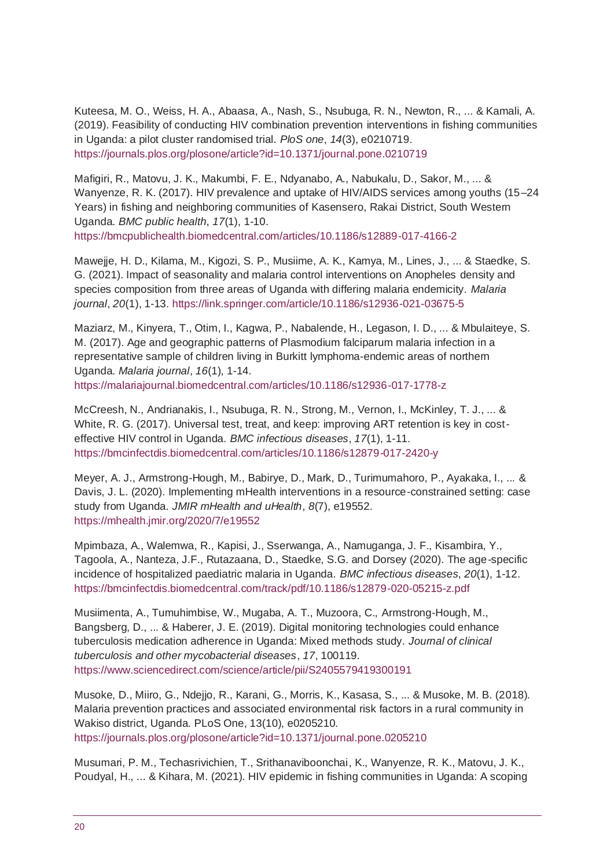Kuteesa, M. O., Weiss, H. A., Abaasa, A., Nash, S., Nsubuga, R. N., Newton, R., ... & Kamali, A. (2019). Feasibility of conducting HIV combination prevention interventions in fishing communities in Uganda: a pilot cluster randomised trial. *PloS one*, *14*(3), e0210719. <https://journals.plos.org/plosone/article?id=10.1371/journal.pone.0210719>

Mafigiri, R., Matovu, J. K., Makumbi, F. E., Ndyanabo, A., Nabukalu, D., Sakor, M., ... & Wanyenze, R. K. (2017). HIV prevalence and uptake of HIV/AIDS services among youths (15–24 Years) in fishing and neighboring communities of Kasensero, Rakai District, South Western Uganda. *BMC public health*, *17*(1), 1-10. <https://bmcpublichealth.biomedcentral.com/articles/10.1186/s12889-017-4166-2>

Mawejje, H. D., Kilama, M., Kigozi, S. P., Musiime, A. K., Kamya, M., Lines, J., ... & Staedke, S. G. (2021). Impact of seasonality and malaria control interventions on Anopheles density and species composition from three areas of Uganda with differing malaria endemicity. *Malaria journal*, *20*(1), 1-13[. https://link.springer.com/article/10.1186/s12936-021-03675-5](https://link.springer.com/article/10.1186/s12936-021-03675-5)

Maziarz, M., Kinyera, T., Otim, I., Kagwa, P., Nabalende, H., Legason, I. D., ... & Mbulaiteye, S. M. (2017). Age and geographic patterns of Plasmodium falciparum malaria infection in a representative sample of children living in Burkitt lymphoma-endemic areas of northern Uganda. *Malaria journal*, *16*(1), 1-14. <https://malariajournal.biomedcentral.com/articles/10.1186/s12936-017-1778-z>

McCreesh, N., Andrianakis, I., Nsubuga, R. N., Strong, M., Vernon, I., McKinley, T. J., ... & White, R. G. (2017). Universal test, treat, and keep: improving ART retention is key in costeffective HIV control in Uganda. *BMC infectious diseases*, *17*(1), 1-11. <https://bmcinfectdis.biomedcentral.com/articles/10.1186/s12879-017-2420-y>

Meyer, A. J., Armstrong-Hough, M., Babirye, D., Mark, D., Turimumahoro, P., Ayakaka, I., ... & Davis, J. L. (2020). Implementing mHealth interventions in a resource-constrained setting: case study from Uganda. *JMIR mHealth and uHealth*, *8*(7), e19552. <https://mhealth.jmir.org/2020/7/e19552>

Mpimbaza, A., Walemwa, R., Kapisi, J., Sserwanga, A., Namuganga, J. F., Kisambira, Y., Tagoola, A., Nanteza, J.F., Rutazaana, D., Staedke, S.G. and Dorsey (2020). The age-specific incidence of hospitalized paediatric malaria in Uganda. *BMC infectious diseases*, *20*(1), 1-12. <https://bmcinfectdis.biomedcentral.com/track/pdf/10.1186/s12879-020-05215-z.pdf>

Musiimenta, A., Tumuhimbise, W., Mugaba, A. T., Muzoora, C., Armstrong-Hough, M., Bangsberg, D., ... & Haberer, J. E. (2019). Digital monitoring technologies could enhance tuberculosis medication adherence in Uganda: Mixed methods study. *Journal of clinical tuberculosis and other mycobacterial diseases*, *17*, 100119. <https://www.sciencedirect.com/science/article/pii/S2405579419300191>

Musoke, D., Miiro, G., Ndejjo, R., Karani, G., Morris, K., Kasasa, S., ... & Musoke, M. B. (2018). Malaria prevention practices and associated environmental risk factors in a rural community in Wakiso district, Uganda. PLoS One, 13(10), e0205210. <https://journals.plos.org/plosone/article?id=10.1371/journal.pone.0205210>

Musumari, P. M., Techasrivichien, T., Srithanaviboonchai, K., Wanyenze, R. K., Matovu, J. K., Poudyal, H., ... & Kihara, M. (2021). HIV epidemic in fishing communities in Uganda: A scoping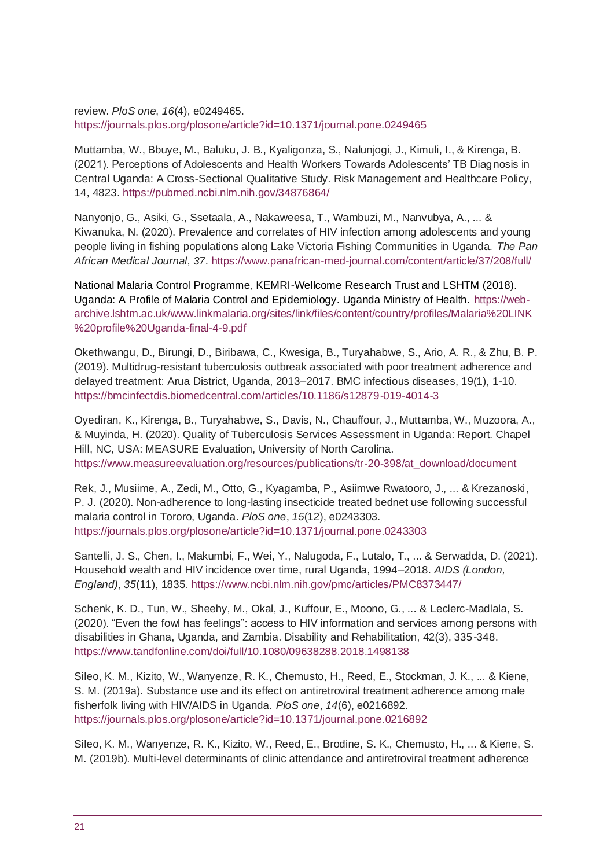review. *PloS one*, *16*(4), e0249465. <https://journals.plos.org/plosone/article?id=10.1371/journal.pone.0249465>

Muttamba, W., Bbuye, M., Baluku, J. B., Kyaligonza, S., Nalunjogi, J., Kimuli, I., & Kirenga, B. (2021). Perceptions of Adolescents and Health Workers Towards Adolescents' TB Diagnosis in Central Uganda: A Cross-Sectional Qualitative Study. Risk Management and Healthcare Policy, 14, 4823. <https://pubmed.ncbi.nlm.nih.gov/34876864/>

Nanyonjo, G., Asiki, G., Ssetaala, A., Nakaweesa, T., Wambuzi, M., Nanvubya, A., ... & Kiwanuka, N. (2020). Prevalence and correlates of HIV infection among adolescents and young people living in fishing populations along Lake Victoria Fishing Communities in Uganda. *The Pan African Medical Journal*, *37*[. https://www.panafrican-med-journal.com/content/article/37/208/full/](https://www.panafrican-med-journal.com/content/article/37/208/full/)

National Malaria Control Programme, KEMRI-Wellcome Research Trust and LSHTM (2018). Uganda: A Profile of Malaria Control and Epidemiology. Uganda Ministry of Health. [https://web](https://web-archive.lshtm.ac.uk/www.linkmalaria.org/sites/link/files/content/country/profiles/Malaria%20LINK%20profile%20Uganda-final-4-9.pdf)[archive.lshtm.ac.uk/www.linkmalaria.org/sites/link/files/content/country/profiles/Malaria%20LINK](https://web-archive.lshtm.ac.uk/www.linkmalaria.org/sites/link/files/content/country/profiles/Malaria%20LINK%20profile%20Uganda-final-4-9.pdf) [%20profile%20Uganda-final-4-9.pdf](https://web-archive.lshtm.ac.uk/www.linkmalaria.org/sites/link/files/content/country/profiles/Malaria%20LINK%20profile%20Uganda-final-4-9.pdf)

Okethwangu, D., Birungi, D., Biribawa, C., Kwesiga, B., Turyahabwe, S., Ario, A. R., & Zhu, B. P. (2019). Multidrug-resistant tuberculosis outbreak associated with poor treatment adherence and delayed treatment: Arua District, Uganda, 2013–2017. BMC infectious diseases, 19(1), 1-10. <https://bmcinfectdis.biomedcentral.com/articles/10.1186/s12879-019-4014-3>

Oyediran, K., Kirenga, B., Turyahabwe, S., Davis, N., Chauffour, J., Muttamba, W., Muzoora, A., & Muyinda, H. (2020). Quality of Tuberculosis Services Assessment in Uganda: Report. Chapel Hill, NC, USA: MEASURE Evaluation, University of North Carolina. [https://www.measureevaluation.org/resources/publications/tr-20-398/at\\_download/document](https://www.measureevaluation.org/resources/publications/tr-20-398/at_download/document)

Rek, J., Musiime, A., Zedi, M., Otto, G., Kyagamba, P., Asiimwe Rwatooro, J., ... & Krezanoski, P. J. (2020). Non-adherence to long-lasting insecticide treated bednet use following successful malaria control in Tororo, Uganda. *PloS one*, *15*(12), e0243303. <https://journals.plos.org/plosone/article?id=10.1371/journal.pone.0243303>

Santelli, J. S., Chen, I., Makumbi, F., Wei, Y., Nalugoda, F., Lutalo, T., ... & Serwadda, D. (2021). Household wealth and HIV incidence over time, rural Uganda, 1994–2018. *AIDS (London, England)*, *35*(11), 1835.<https://www.ncbi.nlm.nih.gov/pmc/articles/PMC8373447/>

Schenk, K. D., Tun, W., Sheehy, M., Okal, J., Kuffour, E., Moono, G., ... & Leclerc-Madlala, S. (2020). "Even the fowl has feelings": access to HIV information and services among persons with disabilities in Ghana, Uganda, and Zambia. Disability and Rehabilitation, 42(3), 335-348. <https://www.tandfonline.com/doi/full/10.1080/09638288.2018.1498138>

Sileo, K. M., Kizito, W., Wanyenze, R. K., Chemusto, H., Reed, E., Stockman, J. K., ... & Kiene, S. M. (2019a). Substance use and its effect on antiretroviral treatment adherence among male fisherfolk living with HIV/AIDS in Uganda. *PloS one*, *14*(6), e0216892. <https://journals.plos.org/plosone/article?id=10.1371/journal.pone.0216892>

Sileo, K. M., Wanyenze, R. K., Kizito, W., Reed, E., Brodine, S. K., Chemusto, H., ... & Kiene, S. M. (2019b). Multi-level determinants of clinic attendance and antiretroviral treatment adherence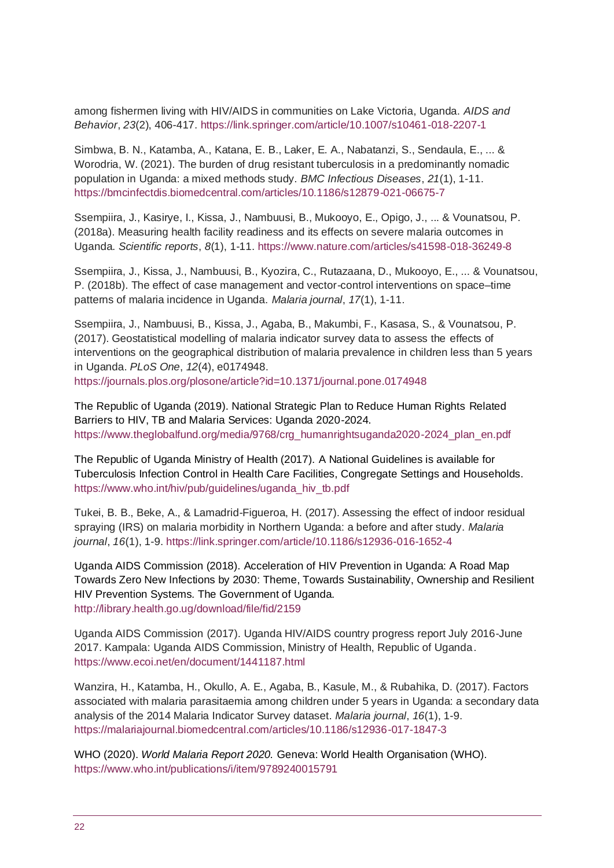among fishermen living with HIV/AIDS in communities on Lake Victoria, Uganda. *AIDS and Behavior*, *23*(2), 406-417.<https://link.springer.com/article/10.1007/s10461-018-2207-1>

Simbwa, B. N., Katamba, A., Katana, E. B., Laker, E. A., Nabatanzi, S., Sendaula, E., ... & Worodria, W. (2021). The burden of drug resistant tuberculosis in a predominantly nomadic population in Uganda: a mixed methods study. *BMC Infectious Diseases*, *21*(1), 1-11. <https://bmcinfectdis.biomedcentral.com/articles/10.1186/s12879-021-06675-7>

Ssempiira, J., Kasirye, I., Kissa, J., Nambuusi, B., Mukooyo, E., Opigo, J., ... & Vounatsou, P. (2018a). Measuring health facility readiness and its effects on severe malaria outcomes in Uganda. *Scientific reports*, *8*(1), 1-11. <https://www.nature.com/articles/s41598-018-36249-8>

Ssempiira, J., Kissa, J., Nambuusi, B., Kyozira, C., Rutazaana, D., Mukooyo, E., ... & Vounatsou, P. (2018b). The effect of case management and vector-control interventions on space–time patterns of malaria incidence in Uganda. *Malaria journal*, *17*(1), 1-11.

Ssempiira, J., Nambuusi, B., Kissa, J., Agaba, B., Makumbi, F., Kasasa, S., & Vounatsou, P. (2017). Geostatistical modelling of malaria indicator survey data to assess the effects of interventions on the geographical distribution of malaria prevalence in children less than 5 years in Uganda. *PLoS One*, *12*(4), e0174948. <https://journals.plos.org/plosone/article?id=10.1371/journal.pone.0174948>

The Republic of Uganda (2019). National Strategic Plan to Reduce Human Rights Related Barriers to HIV, TB and Malaria Services: Uganda 2020-2024. [https://www.theglobalfund.org/media/9768/crg\\_humanrightsuganda2020-2024\\_plan\\_en.pdf](https://www.theglobalfund.org/media/9768/crg_humanrightsuganda2020-2024_plan_en.pdf)

The Republic of Uganda Ministry of Health (2017). A National Guidelines is available for Tuberculosis Infection Control in Health Care Facilities, Congregate Settings and Households. [https://www.who.int/hiv/pub/guidelines/uganda\\_hiv\\_tb.pdf](https://www.who.int/hiv/pub/guidelines/uganda_hiv_tb.pdf)

Tukei, B. B., Beke, A., & Lamadrid-Figueroa, H. (2017). Assessing the effect of indoor residual spraying (IRS) on malaria morbidity in Northern Uganda: a before and after study. *Malaria journal*, *16*(1), 1-9[. https://link.springer.com/article/10.1186/s12936-016-1652-4](https://link.springer.com/article/10.1186/s12936-016-1652-4)

Uganda AIDS Commission (2018). Acceleration of HIV Prevention in Uganda: A Road Map Towards Zero New Infections by 2030: Theme, Towards Sustainability, Ownership and Resilient HIV Prevention Systems. The Government of Uganda. <http://library.health.go.ug/download/file/fid/2159>

Uganda AIDS Commission (2017). Uganda HIV/AIDS country progress report July 2016-June 2017. Kampala: Uganda AIDS Commission, Ministry of Health, Republic of Uganda. <https://www.ecoi.net/en/document/1441187.html>

Wanzira, H., Katamba, H., Okullo, A. E., Agaba, B., Kasule, M., & Rubahika, D. (2017). Factors associated with malaria parasitaemia among children under 5 years in Uganda: a secondary data analysis of the 2014 Malaria Indicator Survey dataset. *Malaria journal*, *16*(1), 1-9. <https://malariajournal.biomedcentral.com/articles/10.1186/s12936-017-1847-3>

WHO (2020). *World Malaria Report 2020.* Geneva: World Health Organisation (WHO). <https://www.who.int/publications/i/item/9789240015791>